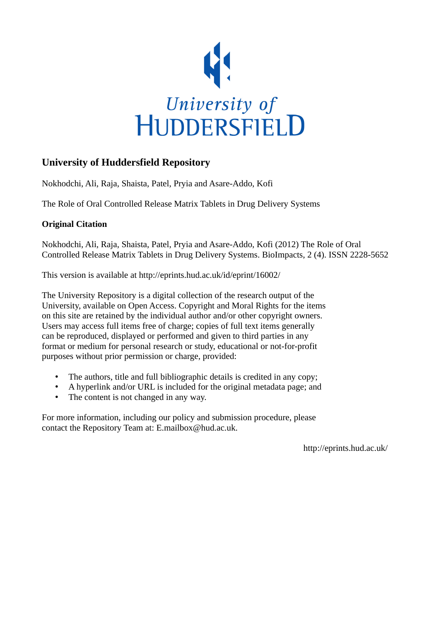

# **University of Huddersfield Repository**

Nokhodchi, Ali, Raja, Shaista, Patel, Pryia and Asare-Addo, Kofi

The Role of Oral Controlled Release Matrix Tablets in Drug Delivery Systems

# **Original Citation**

Nokhodchi, Ali, Raja, Shaista, Patel, Pryia and Asare-Addo, Kofi (2012) The Role of Oral Controlled Release Matrix Tablets in Drug Delivery Systems. BioImpacts, 2 (4). ISSN 2228-5652

This version is available at http://eprints.hud.ac.uk/id/eprint/16002/

The University Repository is a digital collection of the research output of the University, available on Open Access. Copyright and Moral Rights for the items on this site are retained by the individual author and/or other copyright owners. Users may access full items free of charge; copies of full text items generally can be reproduced, displayed or performed and given to third parties in any format or medium for personal research or study, educational or not-for-profit purposes without prior permission or charge, provided:

- The authors, title and full bibliographic details is credited in any copy;
- A hyperlink and/or URL is included for the original metadata page; and
- The content is not changed in any way.

For more information, including our policy and submission procedure, please contact the Repository Team at: E.mailbox@hud.ac.uk.

http://eprints.hud.ac.uk/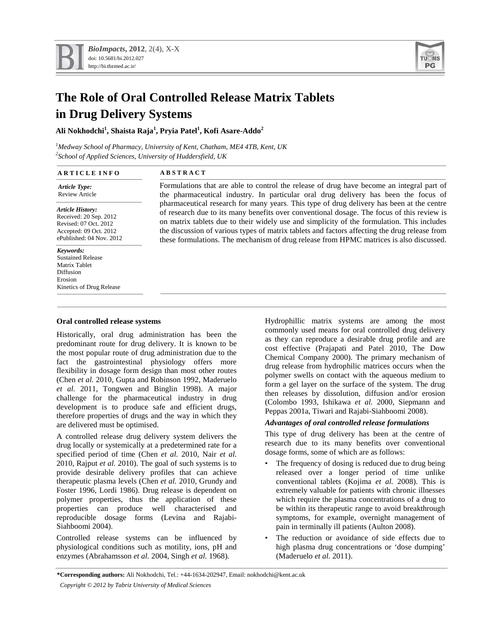

# **The Role of Oral Controlled Release Matrix Tablets in Drug Delivery Systems**

# **Ali Nokhodchi1 , Shaista Raja<sup>1</sup> , Pryia Patel<sup>1</sup> , Kofi Asare-Addo<sup>2</sup>**

*1 Medway School of Pharmacy, University of Kent, Chatham, ME4 4TB, Kent, UK 2 School of Applied Sciences, University of Huddersfield, UK*

| <b>ARTICLE INFO</b>                                                                                        | <b>ABSTRACT</b>                                                                               |  |  |
|------------------------------------------------------------------------------------------------------------|-----------------------------------------------------------------------------------------------|--|--|
| <b>Article Type:</b>                                                                                       | Formulations that are able to control the release of drug have become an integral part of     |  |  |
| <b>Review Article</b>                                                                                      | the pharmaceutical industry. In particular oral drug delivery has been the focus of           |  |  |
| <b>Article History:</b>                                                                                    | pharmaceutical research for many years. This type of drug delivery has been at the centre     |  |  |
| Received: 20 Sep. 2012                                                                                     | of research due to its many benefits over conventional dosage. The focus of this review is    |  |  |
| Revised: 07 Oct. 2012                                                                                      | on matrix tablets due to their widely use and simplicity of the formulation. This includes    |  |  |
| Accepted: 09 Oct. 2012                                                                                     | the discussion of various types of matrix tablets and factors affecting the drug release from |  |  |
| ePublished: 04 Nov. 2012                                                                                   | these formulations. The mechanism of drug release from HPMC matrices is also discussed.       |  |  |
| Keywords:<br><b>Sustained Release</b><br>Matrix Tablet<br>Diffusion<br>Erosion<br>Kinetics of Drug Release |                                                                                               |  |  |

# **Oral controlled release systems**

Historically, oral drug administration has been the predominant route for drug delivery. It is known to be the most popular route of drug administration due to the fact the gastrointestinal physiology offers more flexibility in dosage form design than most other routes (Chen *et al.* 2010, Gupta and Robinson 1992, Maderuelo *et al.* 2011, Tongwen and Binglin 1998). A major challenge for the pharmaceutical industry in drug development is to produce safe and efficient drugs, therefore properties of drugs and the way in which they are delivered must be optimised.

A controlled release drug delivery system delivers the drug locally or systemically at a predetermined rate for a specified period of time (Chen *et al.* 2010, Nair *et al.* 2010, Rajput *et al.* 2010). The goal of such systems is to provide desirable delivery profiles that can achieve therapeutic plasma levels (Chen *et al.* 2010, Grundy and Foster 1996, Lordi 1986). Drug release is dependent on polymer properties, thus the application of these properties can produce well characterised and reproducible dosage forms (Levina and Rajabi-Siahboomi 2004).

Controlled release systems can be influenced by physiological conditions such as motility, ions, pH and enzymes (Abrahamsson *et al.* 2004, Singh *et al.* 1968).

Hydrophillic matrix systems are among the most commonly used means for oral controlled drug delivery as they can reproduce a desirable drug profile and are cost effective (Prajapati and Patel 2010, The Dow Chemical Company 2000). The primary mechanism of drug release from hydrophilic matrices occurs when the polymer swells on contact with the aqueous medium to form a gel layer on the surface of the system. The drug then releases by dissolution, diffusion and/or erosion (Colombo 1993, Ishikawa *et al.* 2000, Siepmann and Peppas 2001a, Tiwari and Rajabi-Siahboomi 2008).

# *Advantages of oral controlled release formulations*

This type of drug delivery has been at the centre of research due to its many benefits over conventional dosage forms, some of which are as follows:

- The frequency of dosing is reduced due to drug being released over a longer period of time unlike conventional tablets (Kojima *et al.* 2008). This is extremely valuable for patients with chronic illnesses which require the plasma concentrations of a drug to be within its therapeutic range to avoid breakthrough symptoms, for example, overnight management of pain in terminally ill patients (Aulton 2008).
- The reduction or avoidance of side effects due to high plasma drug concentrations or 'dose dumping' (Maderuelo *et al.* 2011).

**\*Corresponding authors:** Ali Nokhodchi, Tel.: +44-1634-202947, Email: nokhodchi@kent.ac.uk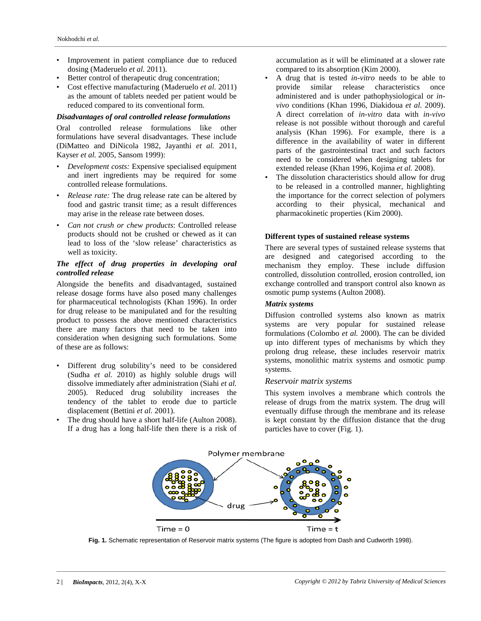- Improvement in patient compliance due to reduced dosing (Maderuelo *et al.* 2011).
- Better control of therapeutic drug concentration;
- Cost effective manufacturing (Maderuelo *et al.* 2011) as the amount of tablets needed per patient would be reduced compared to its conventional form.

# *Disadvantages of oral controlled release formulations*

Oral controlled release formulations like other formulations have several disadvantages. These include (DiMatteo and DiNicola 1982, Jayanthi *et al.* 2011, Kayser *et al.* 2005, Sansom 1999):

- *Development costs:* Expensive specialised equipment and inert ingredients may be required for some controlled release formulations.
- *Release rate:* The drug release rate can be altered by food and gastric transit time; as a result differences may arise in the release rate between doses.
- *Can not crush or chew products*: Controlled release products should not be crushed or chewed as it can lead to loss of the 'slow release' characteristics as well as toxicity.

# *The effect of drug properties in developing oral controlled release*

Alongside the benefits and disadvantaged, sustained release dosage forms have also posed many challenges for pharmaceutical technologists (Khan 1996). In order for drug release to be manipulated and for the resulting product to possess the above mentioned characteristics there are many factors that need to be taken into consideration when designing such formulations. Some of these are as follows:

- Different drug solubility's need to be considered (Sudha *et al.* 2010) as highly soluble drugs will dissolve immediately after administration (Siahi *et al.* 2005). Reduced drug solubility increases the tendency of the tablet to erode due to particle displacement (Bettini *et al.* 2001).
- The drug should have a short half-life (Aulton 2008). If a drug has a long half-life then there is a risk of

accumulation as it will be eliminated at a slower rate compared to its absorption (Kim 2000).

- A drug that is tested *in-vitro* needs to be able to provide similar release characteristics once administered and is under pathophysiological or *invivo* conditions (Khan 1996, Diakidoua *et al.* 2009). A direct correlation of *in-vitro* data with *in-vivo* release is not possible without thorough and careful analysis (Khan 1996). For example, there is a difference in the availability of water in different parts of the gastrointestinal tract and such factors need to be considered when designing tablets for extended release (Khan 1996, Kojima *et al.* 2008).
- The dissolution characteristics should allow for drug to be released in a controlled manner, highlighting the importance for the correct selection of polymers according to their physical, mechanical and pharmacokinetic properties (Kim 2000).

# **Different types of sustained release systems**

There are several types of sustained release systems that are designed and categorised according to the mechanism they employ. These include diffusion controlled, dissolution controlled, erosion controlled, ion exchange controlled and transport control also known as osmotic pump systems (Aulton 2008).

### *Matrix systems*

Diffusion controlled systems also known as matrix systems are very popular for sustained release formulations (Colombo *et al.* 2000). The can be divided up into different types of mechanisms by which they prolong drug release, these includes reservoir matrix systems, monolithic matrix systems and osmotic pump systems.

# *Reservoir matrix systems*

This system involves a membrane which controls the release of drugs from the matrix system. The drug will eventually diffuse through the membrane and its release is kept constant by the diffusion distance that the drug particles have to cover (Fig. 1).



**Fig. 1.** Schematic representation of Reservoir matrix systems (The figure is adopted from Dash and Cudworth 1998).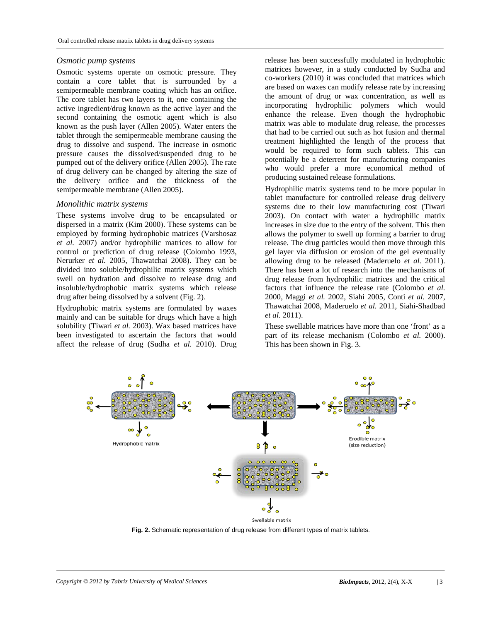#### *Osmotic pump systems*

Osmotic systems operate on osmotic pressure. They contain a core tablet that is surrounded by a semipermeable membrane coating which has an orifice. The core tablet has two layers to it, one containing the active ingredient/drug known as the active layer and the second containing the osmotic agent which is also known as the push layer (Allen 2005). Water enters the tablet through the semipermeable membrane causing the drug to dissolve and suspend. The increase in osmotic pressure causes the dissolved/suspended drug to be pumped out of the delivery orifice (Allen 2005). The rate of drug delivery can be changed by altering the size of the delivery orifice and the thickness of the semipermeable membrane (Allen 2005).

#### *Monolithic matrix systems*

These systems involve drug to be encapsulated or dispersed in a matrix (Kim 2000). These systems can be employed by forming hydrophobic matrices (Varshosaz *et al.* 2007) and/or hydrophilic matrices to allow for control or prediction of drug release (Colombo 1993, Nerurker *et al.* 2005, Thawatchai 2008). They can be divided into soluble/hydrophilic matrix systems which swell on hydration and dissolve to release drug and insoluble/hydrophobic matrix systems which release drug after being dissolved by a solvent (Fig. 2).

Hydrophobic matrix systems are formulated by waxes mainly and can be suitable for drugs which have a high solubility (Tiwari *et al.* 2003). Wax based matrices have been investigated to ascertain the factors that would affect the release of drug (Sudha *et al.* 2010). Drug release has been successfully modulated in hydrophobic matrices however, in a study conducted by Sudha and co-workers (2010) it was concluded that matrices which are based on waxes can modify release rate by increasing the amount of drug or wax concentration, as well as incorporating hydrophilic polymers which would enhance the release. Even though the hydrophobic matrix was able to modulate drug release, the processes that had to be carried out such as hot fusion and thermal treatment highlighted the length of the process that would be required to form such tablets. This can potentially be a deterrent for manufacturing companies who would prefer a more economical method of producing sustained release formulations.

Hydrophilic matrix systems tend to be more popular in tablet manufacture for controlled release drug delivery systems due to their low manufacturing cost (Tiwari 2003). On contact with water a hydrophilic matrix increases in size due to the entry of the solvent. This then allows the polymer to swell up forming a barrier to drug release. The drug particles would then move through this gel layer via diffusion or erosion of the gel eventually allowing drug to be released (Maderuelo *et al.* 2011). There has been a lot of research into the mechanisms of drug release from hydrophilic matrices and the critical factors that influence the release rate (Colombo *et al.* 2000, Maggi *et al.* 2002, Siahi 2005, Conti *et al.* 2007, Thawatchai 2008, Maderuelo *et al.* 2011, Siahi-Shadbad *et al.* 2011).

These swellable matrices have more than one 'front' as a part of its release mechanism (Colombo *et al.* 2000). This has been shown in Fig. 3.



**Fig. 2.** Schematic representation of drug release from different types of matrix tablets.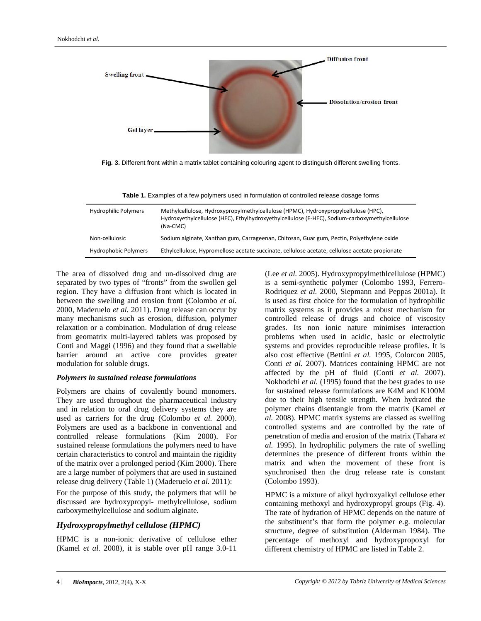

**Fig. 3.** Different front within a matrix tablet containing colouring agent to distinguish different swelling fronts.

| Table 1. Examples of a few polymers used in formulation of controlled release dosage forms |  |  |  |
|--------------------------------------------------------------------------------------------|--|--|--|
|--------------------------------------------------------------------------------------------|--|--|--|

| <b>Hydrophilic Polymers</b> | Methylcellulose, Hydroxypropylmethylcellulose (HPMC), Hydroxypropylcellulose (HPC),<br>Hydroxyethylcellulose (HEC), Ethylhydroxyethylcellulose (E-HEC), Sodium-carboxymethylcellulose<br>(Na-CMC) |
|-----------------------------|---------------------------------------------------------------------------------------------------------------------------------------------------------------------------------------------------|
| Non-cellulosic              | Sodium alginate, Xanthan gum, Carrageenan, Chitosan, Guar gum, Pectin, Polyethylene oxide                                                                                                         |
| <b>Hydrophobic Polymers</b> | Ethylcellulose, Hypromellose acetate succinate, cellulose acetate, cellulose acetate propionate                                                                                                   |

The area of dissolved drug and un-dissolved drug are separated by two types of "fronts" from the swollen gel region. They have a diffusion front which is located in between the swelling and erosion front (Colombo *et al.* 2000, Maderuelo *et al.* 2011). Drug release can occur by many mechanisms such as erosion, diffusion, polymer relaxation or a combination. Modulation of drug release from geomatrix multi-layered tablets was proposed by Conti and Maggi (1996) and they found that a swellable barrier around an active core provides greater modulation for soluble drugs.

### *Polymers in sustained release formulations*

Polymers are chains of covalently bound monomers. They are used throughout the pharmaceutical industry and in relation to oral drug delivery systems they are used as carriers for the drug (Colombo *et al.* 2000). Polymers are used as a backbone in conventional and controlled release formulations (Kim 2000). For sustained release formulations the polymers need to have certain characteristics to control and maintain the rigidity of the matrix over a prolonged period (Kim 2000). There are a large number of polymers that are used in sustained release drug delivery (Table 1) (Maderuelo *et al.* 2011):

For the purpose of this study, the polymers that will be discussed are hydroxypropyl- methylcellulose, sodium carboxymethylcellulose and sodium alginate.

# *Hydroxypropylmethyl cellulose (HPMC)*

HPMC is a non-ionic derivative of cellulose ether (Kamel *et al.* 2008), it is stable over pH range 3.0-11

(Lee *et al.* 2005). Hydroxypropylmethlcellulose (HPMC) is a semi-synthetic polymer (Colombo 1993, Ferrero-Rodriquez *et al.* 2000, Siepmann and Peppas 2001a). It is used as first choice for the formulation of hydrophilic matrix systems as it provides a robust mechanism for controlled release of drugs and choice of viscosity grades. Its non ionic nature minimises interaction problems when used in acidic, basic or electrolytic systems and provides reproducible release profiles. It is also cost effective (Bettini *et al.* 1995, Colorcon 2005, Conti *et al.* 2007). Matrices containing HPMC are not affected by the pH of fluid (Conti *et al.* 2007). Nokhodchi *et al.* (1995) found that the best grades to use for sustained release formulations are K4M and K100M due to their high tensile strength. When hydrated the polymer chains disentangle from the matrix (Kamel *et al.* 2008). HPMC matrix systems are classed as swelling controlled systems and are controlled by the rate of penetration of media and erosion of the matrix (Tahara *et al.* 1995). In hydrophilic polymers the rate of swelling determines the presence of different fronts within the matrix and when the movement of these front is synchronised then the drug release rate is constant (Colombo 1993).

HPMC is a mixture of alkyl hydroxyalkyl cellulose ether containing methoxyl and hydroxypropyl groups (Fig. 4). The rate of hydration of HPMC depends on the nature of the substituent's that form the polymer e.g. molecular structure, degree of substitution (Alderman 1984). The percentage of methoxyl and hydroxypropoxyl for different chemistry of HPMC are listed in Table 2.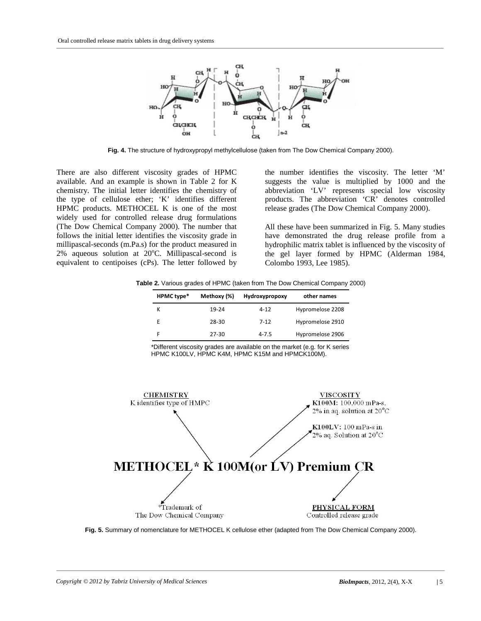

**Fig. 4.** The structure of hydroxypropyl methylcellulose (taken from The Dow Chemical Company 2000).

There are also different viscosity grades of HPMC available. And an example is shown in Table 2 for K chemistry. The initial letter identifies the chemistry of the type of cellulose ether; 'K' identifies different HPMC products. METHOCEL K is one of the most widely used for controlled release drug formulations (The Dow Chemical Company 2000). The number that follows the initial letter identifies the viscosity grade in millipascal-seconds (m.Pa.s) for the product measured in 2% aqueous solution at 20°C. Millipascal-second is equivalent to centipoises (cPs). The letter followed by

the number identifies the viscosity. The letter 'M' suggests the value is multiplied by 1000 and the abbreviation 'LV' represents special low viscosity products. The abbreviation 'CR' denotes controlled release grades (The Dow Chemical Company 2000).

All these have been summarized in Fig. 5. Many studies have demonstrated the drug release profile from a hydrophilic matrix tablet is influenced by the viscosity of the gel layer formed by HPMC (Alderman 1984, Colombo 1993, Lee 1985).

**Table 2.** Various grades of HPMC (taken from The Dow Chemical Company 2000)

| HPMC type* | Methoxy (%) | Hydroxypropoxy | other names      |
|------------|-------------|----------------|------------------|
| к          | 19-24       | $4 - 12$       | Hypromelose 2208 |
|            | 28-30       | $7 - 12$       | Hypromelose 2910 |
|            | $27 - 30$   | $4 - 7.5$      | Hypromelose 2906 |

\*Different viscosity grades are available on the market (e.g. for K series HPMC K100LV, HPMC K4M, HPMC K15M and HPMCK100M).



**Fig. 5.** Summary of nomenclature for METHOCEL K cellulose ether (adapted from The Dow Chemical Company 2000).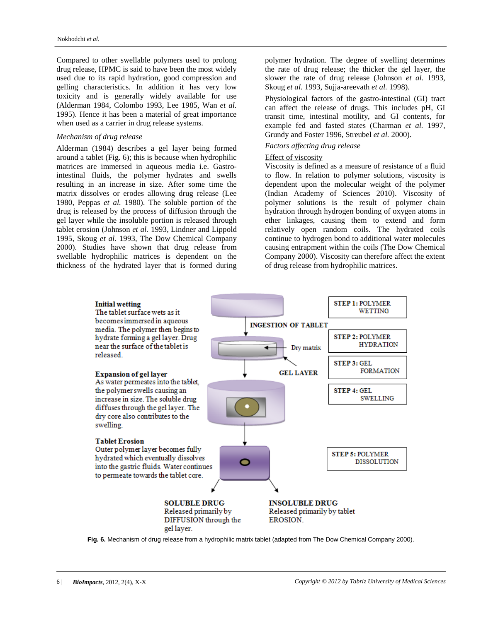Compared to other swellable polymers used to prolong drug release, HPMC is said to have been the most widely used due to its rapid hydration, good compression and gelling characteristics. In addition it has very low toxicity and is generally widely available for use (Alderman 1984, Colombo 1993, Lee 1985, Wan *et al.* 1995). Hence it has been a material of great importance when used as a carrier in drug release systems.

## *Mechanism of drug release*

Alderman (1984) describes a gel layer being formed around a tablet (Fig. 6); this is because when hydrophilic matrices are immersed in aqueous media i.e. Gastrointestinal fluids, the polymer hydrates and swells resulting in an increase in size. After some time the matrix dissolves or erodes allowing drug release (Lee 1980, Peppas *et al.* 1980). The soluble portion of the drug is released by the process of diffusion through the gel layer while the insoluble portion is released through tablet erosion (Johnson *et al.* 1993, Lindner and Lippold 1995, Skoug *et al.* 1993, The Dow Chemical Company 2000). Studies have shown that drug release from swellable hydrophilic matrices is dependent on the thickness of the hydrated layer that is formed during polymer hydration. The degree of swelling determines the rate of drug release; the thicker the gel layer, the slower the rate of drug release (Johnson *et al.* 1993, Skoug *et al.* 1993, Sujja-areevath *et al.* 1998).

Physiological factors of the gastro-intestinal (GI) tract can affect the release of drugs. This includes pH, GI transit time, intestinal motility, and GI contents, for example fed and fasted states (Charman *et al.* 1997, Grundy and Foster 1996, Streubel *et al.* 2000).

## *Factors affecting drug release*

#### Effect of viscosity

Viscosity is defined as a measure of resistance of a fluid to flow. In relation to polymer solutions, viscosity is dependent upon the molecular weight of the polymer (Indian Academy of Sciences 2010). Viscosity of polymer solutions is the result of polymer chain hydration through hydrogen bonding of oxygen atoms in ether linkages, causing them to extend and form relatively open random coils. The hydrated coils continue to hydrogen bond to additional water molecules causing entrapment within the coils (The Dow Chemical Company 2000). Viscosity can therefore affect the extent of drug release from hydrophilic matrices.



**Fig. 6.** Mechanism of drug release from a hydrophilic matrix tablet (adapted from The Dow Chemical Company 2000).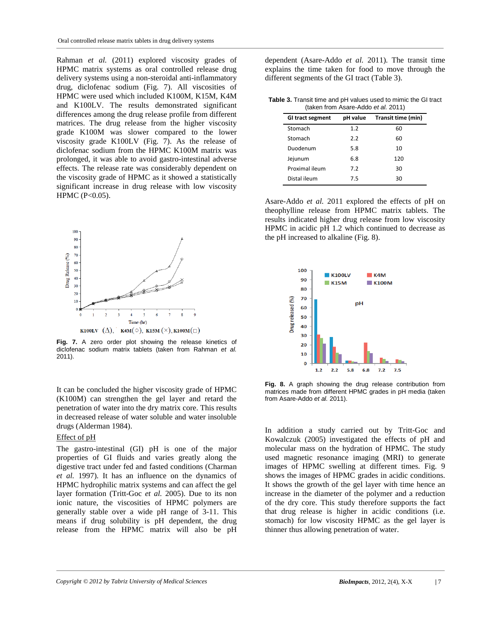Rahman *et al.* (2011) explored viscosity grades of HPMC matrix systems as oral controlled release drug delivery systems using a non-steroidal anti-inflammatory drug, diclofenac sodium (Fig. 7). All viscosities of HPMC were used which included K100M, K15M, K4M and K100LV. The results demonstrated significant differences among the drug release profile from different matrices. The drug release from the higher viscosity grade K100M was slower compared to the lower viscosity grade K100LV (Fig. 7). As the release of diclofenac sodium from the HPMC K100M matrix was prolonged, it was able to avoid gastro-intestinal adverse effects. The release rate was considerably dependent on the viscosity grade of HPMC as it showed a statistically significant increase in drug release with low viscosity HPMC (P<0.05).



**Fig. 7.** A zero order plot showing the release kinetics of diclofenac sodium matrix tablets (taken from Rahman *et al.* 2011).

It can be concluded the higher viscosity grade of HPMC (K100M) can strengthen the gel layer and retard the penetration of water into the dry matrix core. This results in decreased release of water soluble and water insoluble drugs (Alderman 1984).

## Effect of pH

The gastro-intestinal (GI) pH is one of the major properties of GI fluids and varies greatly along the digestive tract under fed and fasted conditions (Charman *et al.* 1997). It has an influence on the dynamics of HPMC hydrophilic matrix systems and can affect the gel layer formation (Tritt-Goc *et al.* 2005). Due to its non ionic nature, the viscosities of HPMC polymers are generally stable over a wide pH range of 3-11. This means if drug solubility is pH dependent, the drug release from the HPMC matrix will also be pH

dependent (Asare-Addo *et al.* 2011). The transit time explains the time taken for food to move through the different segments of the GI tract (Table 3).

**Table 3.** Transit time and pH values used to mimic the GI tract (taken from Asare-Addo *et al.* 2011)

| GI tract segment | pH value | Transit time (min) |
|------------------|----------|--------------------|
| Stomach          | 1.2      | 60                 |
| Stomach          | 2.2      | 60                 |
| Duodenum         | 5.8      | 10                 |
| Jejunum          | 6.8      | 120                |
| Proximal ileum   | 7.2      | 30                 |
| Distal ileum     | 7.5      | 30                 |

Asare-Addo *et al.* 2011 explored the effects of pH on theophylline release from HPMC matrix tablets. The results indicated higher drug release from low viscosity HPMC in acidic pH 1.2 which continued to decrease as the pH increased to alkaline (Fig. 8).



**Fig. 8.** A graph showing the drug release contribution from matrices made from different HPMC grades in pH media (taken from Asare-Addo *et al.* 2011).

In addition a study carried out by Tritt-Goc and Kowalczuk (2005) investigated the effects of pH and molecular mass on the hydration of HPMC. The study used magnetic resonance imaging (MRI) to generate images of HPMC swelling at different times. Fig. 9 shows the images of HPMC grades in acidic conditions. It shows the growth of the gel layer with time hence an increase in the diameter of the polymer and a reduction of the dry core. This study therefore supports the fact that drug release is higher in acidic conditions (i.e. stomach) for low viscosity HPMC as the gel layer is thinner thus allowing penetration of water.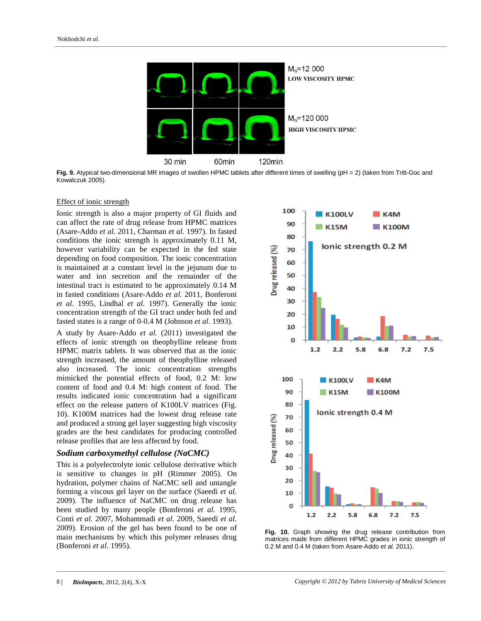

Fig. 9. Atypical two-dimensional MR images of swollen HPMC tablets after different times of swelling (pH = 2) (taken from Tritt-Goc and Kowalczuk 2005).

#### Effect of ionic strength

Ionic strength is also a major property of GI fluids and can affect the rate of drug release from HPMC matrices (Asare-Addo *et al.* 2011, Charman *et al.* 1997). In fasted conditions the ionic strength is approximately 0.11 M, however variability can be expected in the fed state depending on food composition. The ionic concentration is maintained at a constant level in the jejunum due to water and ion secretion and the remainder of the intestinal tract is estimated to be approximately 0.14 M in fasted conditions (Asare-Addo *et al.* 2011, Bonferoni *et al.* 1995, Lindhal *et al.* 1997). Generally the ionic concentration strength of the GI tract under both fed and fasted states is a range of 0-0.4 M (Johnson *et al.* 1993).

A study by Asare-Addo *et al.* (2011) investigated the effects of ionic strength on theophylline release from HPMC matrix tablets. It was observed that as the ionic strength increased, the amount of theophylline released also increased. The ionic concentration strengths mimicked the potential effects of food, 0.2 M: low content of food and 0.4 M: high content of food. The results indicated ionic concentration had a significant effect on the release pattern of K100LV matrices (Fig. 10). K100M matrices had the lowest drug release rate and produced a strong gel layer suggesting high viscosity grades are the best candidates for producing controlled release profiles that are less affected by food.

#### *Sodium carboxymethyl cellulose (NaCMC)*

This is a polyelectrolyte ionic cellulose derivative which is sensitive to changes in pH (Rimmer 2005). On hydration, polymer chains of NaCMC sell and untangle forming a viscous gel layer on the surface (Saeedi *et al.* 2009). The influence of NaCMC on drug release has been studied by many people (Bonferoni *et al.* 1995, Conti *et al.* 2007, Mohammadi *et al.* 2009, Saeedi *et al.* 2009). Erosion of the gel has been found to be one of main mechanisms by which this polymer releases drug (Bonferoni *et al.* 1995).



**Fig. 10.** Graph showing the drug release contribution from matrices made from different HPMC grades in ionic strength of 0.2 M and 0.4 M (taken from Asare-Addo *et al.* 2011).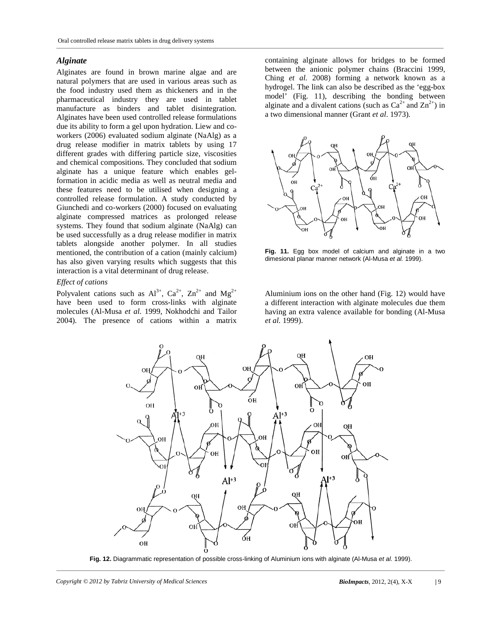# *Alginate*

Alginates are found in brown marine algae and are natural polymers that are used in various areas such as the food industry used them as thickeners and in the pharmaceutical industry they are used in tablet manufacture as binders and tablet disintegration. Alginates have been used controlled release formulations due its ability to form a gel upon hydration. Liew and coworkers (2006) evaluated sodium alginate (NaAlg) as a drug release modifier in matrix tablets by using 17 different grades with differing particle size, viscosities and chemical compositions. They concluded that sodium alginate has a unique feature which enables gelformation in acidic media as well as neutral media and these features need to be utilised when designing a controlled release formulation. A study conducted by Giunchedi and co-workers (2000) focused on evaluating alginate compressed matrices as prolonged release systems. They found that sodium alginate (NaAlg) can be used successfully as a drug release modifier in matrix tablets alongside another polymer. In all studies mentioned, the contribution of a cation (mainly calcium) has also given varying results which suggests that this interaction is a vital determinant of drug release.

# *Effect of cations*

Polyvalent cations such as  $Al^{3+}$ ,  $Ca^{2+}$ ,  $Zn^{2+}$  and  $Mg^{2+}$ have been used to form cross-links with alginate molecules (Al-Musa *et al.* 1999, Nokhodchi and Tailor 2004). The presence of cations within a matrix

containing alginate allows for bridges to be formed between the anionic polymer chains (Braccini 1999, Ching *et al.* 2008) forming a network known as a hydrogel. The link can also be described as the 'egg-box model' (Fig. 11), describing the bonding between alginate and a divalent cations (such as  $Ca^{2+}$  and  $Zn^{2+}$ ) in a two dimensional manner (Grant *et al*. 1973).



**Fig. 11.** Egg box model of calcium and alginate in a two dimesional planar manner network (Al-Musa *et al.* 1999).

Aluminium ions on the other hand (Fig. 12) would have a different interaction with alginate molecules due them having an extra valence available for bonding (Al-Musa *et al.* 1999).



**Fig. 12.** Diagrammatic representation of possible cross-linking of Aluminium ions with alginate (Al-Musa *et al.* 1999).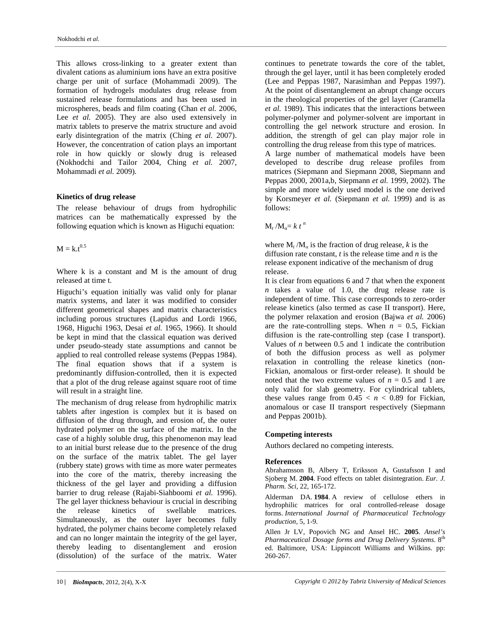This allows cross-linking to a greater extent than divalent cations as aluminium ions have an extra positive charge per unit of surface (Mohammadi 2009). The formation of hydrogels modulates drug release from sustained release formulations and has been used in microspheres, beads and film coating (Chan *et al.* 2006, Lee *et al.* 2005). They are also used extensively in matrix tablets to preserve the matrix structure and avoid early disintegration of the matrix (Ching *et al.* 2007). However, the concentration of cation plays an important role in how quickly or slowly drug is released (Nokhodchi and Tailor 2004, Ching *et al.* 2007, Mohammadi *et al.* 2009).

### **Kinetics of drug release**

The release behaviour of drugs from hydrophilic matrices can be mathematically expressed by the following equation which is known as Higuchi equation:

 $M = k.t^{0.5}$ 

Where  $k$  is a constant and  $M$  is the amount of drug released at time t.

Higuchi's equation initially was valid only for planar matrix systems, and later it was modified to consider different geometrical shapes and matrix characteristics including porous structures (Lapidus and Lordi 1966, 1968, Higuchi 1963, Desai *et al.* 1965, 1966). It should be kept in mind that the classical equation was derived under pseudo-steady state assumptions and cannot be applied to real controlled release systems (Peppas 1984). The final equation shows that if a system is predominantly diffusion-controlled, then it is expected that a plot of the drug release against square root of time will result in a straight line.

The mechanism of drug release from hydrophilic matrix tablets after ingestion is complex but it is based on diffusion of the drug through, and erosion of, the outer hydrated polymer on the surface of the matrix. In the case of a highly soluble drug, this phenomenon may lead to an initial burst release due to the presence of the drug on the surface of the matrix tablet. The gel layer (rubbery state) grows with time as more water permeates into the core of the matrix, thereby increasing the thickness of the gel layer and providing a diffusion barrier to drug release (Rajabi-Siahboomi *et al.* 1996). The gel layer thickness behaviour is crucial in describing the release kinetics of swellable matrices. Simultaneously, as the outer layer becomes fully hydrated, the polymer chains become completely relaxed and can no longer maintain the integrity of the gel layer, thereby leading to disentanglement and erosion (dissolution) of the surface of the matrix. Water

continues to penetrate towards the core of the tablet, through the gel layer, until it has been completely eroded (Lee and Peppas 1987, Narasimhan and Peppas 1997). At the point of disentanglement an abrupt change occurs in the rheological properties of the gel layer (Caramella *et al.* 1989). This indicates that the interactions between polymer-polymer and polymer-solvent are important in controlling the gel network structure and erosion. In addition, the strength of gel can play major role in controlling the drug release from this type of matrices.

A large number of mathematical models have been developed to describe drug release profiles from matrices (Siepmann and Siepmann 2008, Siepmann and Peppas 2000, 2001a,b, Siepmann *et al.* 1999, 2002). The simple and more widely used model is the one derived by Korsmeyer *et al.* (Siepmann *et al.* 1999) and is as follows:

 $M_t / M_0 = k t^n$ 

where  $M_t / M_a$  is the fraction of drug release, *k* is the diffusion rate constant, *t* is the release time and *n* is the release exponent indicative of the mechanism of drug release.

It is clear from equations 6 and 7 that when the exponent *n* takes a value of 1.0, the drug release rate is independent of time. This case corresponds to zero-order release kinetics (also termed as case II transport). Here, the polymer relaxation and erosion (Bajwa *et al.* 2006) are the rate-controlling steps. When  $n = 0.5$ , Fickian diffusion is the rate-controlling step (case I transport). Values of *n* between 0.5 and 1 indicate the contribution of both the diffusion process as well as polymer relaxation in controlling the release kinetics (non-Fickian, anomalous or first-order release). It should be noted that the two extreme values of  $n = 0.5$  and 1 are only valid for slab geometry. For cylindrical tablets, these values range from  $0.45 < n < 0.89$  for Fickian, anomalous or case II transport respectively (Siepmann and Peppas 2001b).

### **Competing interests**

Authors declared no competing interests.

### **References**

Abrahamsson B, Albery T, Eriksson A, Gustafsson I and Sjoberg M. **2004**. Food effects on tablet disintegration. *Eur. J. Pharm. Sci*, 22, 165-172.

Alderman DA. **1984**. A review of cellulose ethers in hydrophilic matrices for oral controlled-release dosage forms. *International Journal of Pharmaceutical Technology production,* 5, 1-9.

Allen Jr LV, Popovich NG and Ansel HC. **2005**. *Ansel's Pharmaceutical Dosage forms and Drug Delivery Systems*. 8th ed. Baltimore, USA: Lippincott Williams and Wilkins. pp: 260-267.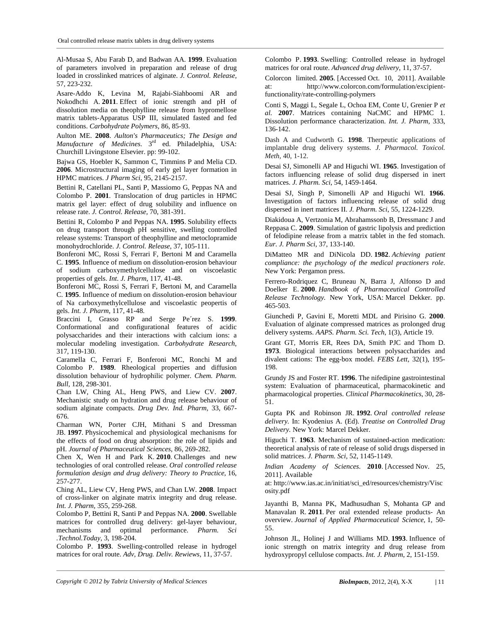Al-Musaa S, Abu Farab D, and Badwan AA. **1999**. Evaluation of parameters involved in preparation and release of drug loaded in crosslinked matrices of alginate. *J. Control. Release,* 57, 223-232.

Asare-Addo K, Levina M, Rajabi-Siahboomi AR and Nokodhchi A. **2011**. Effect of ionic strength and pH of dissolution media on theophylline release from hypromellose matrix tablets-Apparatus USP III, simulated fasted and fed conditions. *Carbohydrate Polymers*, 86, 85-93.

Aulton ME. **2008**. *Aulton's Pharmaceutics; The Design and Manufacture of Medicines*. 3rd ed. Philadelphia, USA: Churchill Livingstone Elsevier. pp: 99-102.

Bajwa GS, Hoebler K, Sammon C, Timmins P and Melia CD. **2006**. Microstructural imaging of early gel layer formation in HPMC matrices. *J Pharm Sci*, 95, 2145-2157.

Bettini R, Catellani PL, Santi P, Massiomo G, Peppas NA and Colombo P. **2001**. Translocation of drug particles in HPMC matrix gel layer: effect of drug solubility and influence on release rate. *J. Control. Release,* 70, 381-391.

Bettini R, Colombo P and Peppas NA. **1995**. Solubility effects on drug transport through pH sensitive, swelling controlled release systems: Transport of theophylline and metoclopramide monohydrochloride. *J. Control. Release*, 37, 105-111.

Bonferoni MC, Rossi S, Ferrari F, Bertoni M and Caramella C. **1995**. Influence of medium on dissolution-erosion behaviour of sodium carboxymethylcellulose and on viscoelastic properties of gels. *Int. J. Pharm*, 117, 41-48.

Bonferoni MC, Rossi S, Ferrari F, Bertoni M, and Caramella C. **1995**. Influence of medium on dissolution-erosion behaviour of Na carboxymethylcellulose and viscoelastic peopertis of gels. *Int. J. Pharm*, 117, 41-48.

Braccini I, Grasso RP and Serge Pe´rez S. **1999**. Conformational and configurational features of acidic polysaccharides and their interactions with calcium ions: a molecular modeling investigation. *Carbohydrate Research*, 317, 119-130.

Caramella C, Ferrari F, Bonferoni MC, Ronchi M and Colombo P. **1989**. Rheological properties and diffusion dissolution behaviour of hydrophilic polymer. *Chem. Pharm. Bull*, 128, 298-301.

Chan LW, Ching AL, Heng PWS, and Liew CV. **2007**. Mechanistic study on hydration and drug release behaviour of sodium alginate compacts. *Drug Dev. Ind. Pharm,* 33, 667- 676.

Charman WN, Porter CJH, Mithani S and Dressman JB. **1997**. Physicochemical and physiological mechanisms for the effects of food on drug absorption: the role of lipids and pH. *Journal of Pharmaceutical Sciences*, 86, 269-282.

Chen X, Wen H and Park K. **2010**. Challenges and new technologies of oral controlled release. *Oral controlled release formulation design and drug delivery: Theory to Practice,* 16, 257-277.

Ching AL, Liew CV, Heng PWS, and Chan LW. **2008**. Impact of cross-linker on alginate matrix integrity and drug release. *Int. J. Pharm,* 355, 259-268.

Colombo P, Bettini R, Santi P and Peppas NA. **2000**. Swellable matrices for controlled drug delivery: gel-layer behaviour, mechanisms and optimal performance. *Pharm. Sci* performance. *Pharm. Sci .Technol.Today,* 3, 198-204.

Colombo P. **1993**. Swelling-controlled release in hydrogel matrices for oral route. *Adv, Drug. Deliv. Rewiews,* 11, 37-57.

Colombo P. **1993**. Swelling: Controlled release in hydrogel matrices for oral route. *Advanced drug delivery*, 11, 37-57.

Colorcon limited. **2005**. [Accessed Oct. 10, 2011]. Available at: http://www.colorcon.com/formulation/excipientfunctionality/rate-controlling-polymers

Conti S, Maggi L, Segale L, Ochoa EM, Conte U, Grenier P *et al.* **2007**. Matrices containing NaCMC and HPMC 1. Dissolution performance characterization. *Int. J. Pharm,* 333, 136-142.

Dash A and Cudworth G. **1998**. Therpeutic applications of implantable drug delivery systems. *J. Pharmacol. Toxicol. Meth,* 40, 1-12.

Desai SJ, Simonelli AP and Higuchi WI. **1965**. Investigation of factors influencing release of solid drug dispersed in inert matrices. *J. Pharm. Sci*, 54, 1459-1464.

Desai SJ, Singh P, Simonelli AP and Higuchi WI. **1966**. Investigation of factors influencing release of solid drug dispersed in inert matrices II. *J. Pharm. Sci*, 55, 1224-1229.

Diakidoua A, Vertzonia M, Abrahamssonb B, Dressmanc J and Reppasa C. **2009**. Simulation of gastric lipolysis and prediction of felodipine release from a matrix tablet in the fed stomach. *Eur. J. Pharm Sci*, 37, 133-140.

DiMatteo MR and DiNicola DD. **1982**. *Achieving patient compliance: the psychology of the medical practioners role*. New York: Pergamon press.

Ferrero-Rodriquez C, Bruneau N, Barra J, Alfonso D and Doelker E. **2000**. *Handbook of Pharmaceutical Controlled Release Technology.* New York, USA: Marcel Dekker. pp. 465-503.

Giunchedi P, Gavini E, Moretti MDL and Pirisino G. **2000**. Evaluation of alginate compressed matrices as prolonged drug delivery systems. *AAPS. Pharm. Sci. Tech*, 1(3), Article 19.

Grant GT, Morris ER, Rees DA, Smith PJC and Thom D. **1973**. Biological interactions between polysaccharides and divalent cations: The egg-box model. *FEBS Lett,* 32(1), 195- 198.

Grundy JS and Foster RT. **1996**. The nifedipine gastrointestinal system: Evaluation of pharmaceutical, pharmacokinetic and pharmacological properties. *Clinical Pharmacokinetics*, 30, 28- 51.

Gupta PK and Robinson JR. **1992**. *Oral controlled release delivery.* In: Kyodenius A. (Ed). *Treatise on Controlled Drug Delivery.* New York: Marcel Dekker.

Higuchi T. **1963**. Mechanism of sustained-action medication: theoretical analysis of rate of release of solid drugs dispersed in solid matrices. *J. Pharm. Sci*, 52, 1145-1149.

*Indian Academy of Sciences*. **2010**. [Accessed Nov. 25, 2011]. Available

at: http://www.ias.ac.in/initiat/sci\_ed/resources/chemistry/Visc osity.pdf

Jayanthi B, Manna PK, Madhusudhan S, Mohanta GP and Manavalan R. **2011**. Per oral extended release products- An overview. *Journal of Applied Pharmaceutical Science*, 1, 50- 55.

Johnson JL, Holinej J and Williams MD. **1993**. Influence of ionic strength on matrix integrity and drug release from hydroxypropyl cellulose compacts. *Int. J. Pharm*, 2, 151-159.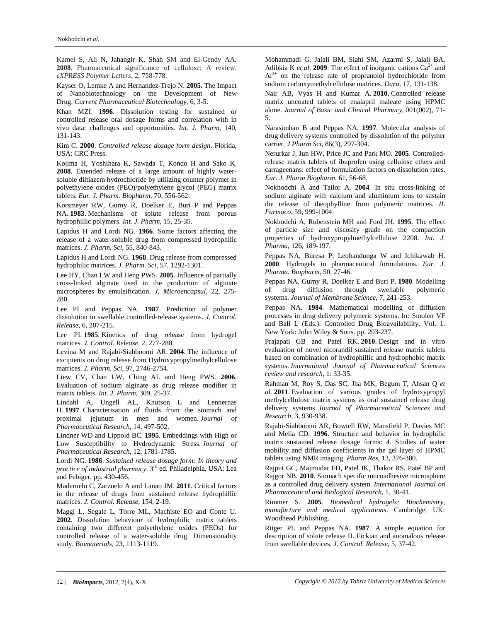Kamel S, Ali N, Jahangir K, Shah SM and El-Gendy AA. **2008**. Pharmaceutical significance of cellulose: A review. *eXPRESS Polymer Letters*, 2, 758-778.

Kayser O, Lemke A and Hernandez-Trejo N. **2005**. The Impact of Nanobiotechnology on the Development of New Drug. *Current Pharmaceutical Biotechnology*, 6, 3-5.

Khan MZI. **1996**. Dissolution testing for sustained or controlled release oral dosage forms and correlation with in vivo data: challenges and opportunities. *Int. J. Pharm*, 140, 131-143.

Kim C. **2000**. *Controlled release dosage form design*. Florida, USA: CRC Press.

Kojima H, Yoshihara K, Sawada T, Kondo H and Sako K. **2008**. Extended release of a large amount of highly watersoluble diltiazem hydrochloride by utilizing counter polymer in polyethylene oxides (PEO)/polyethylene glycol (PEG) matrix tablets. *Eur. J. Pharm. Biopharm,* 70, 556-562.

Korsmeyer RW, Gurny R, Doelker E, Buri P and Peppas NA. **1983**. Mechanisms of solute release from porous hydrophillic polymers. *Int. J. Pharm*, 15, 25-35.

Lapidus H and Lordi NG. **1966**. Some factors affecting the release of a water-soluble drug from compressed hydrophilic matrices. *J. Pharm. Sci*, 55, 840-843.

Lapidus H and Lordi NG. **1968**. Drug release from compressed hydrophilic matrices. *J. Pharm. Sci*, 57, 1292-1301.

Lee HY, Chan LW and Heng PWS. **2005**. Influence of partially cross-linked alginate used in the production of alginate microspheres by emulsification. *J. Microencapsul,* 22, 275- 280.

Lee PI and Peppas NA. **1987**. Prediction of polymer dissolution in swellable controlled-release systems. *J. Control. Release*, 6, 207-215.

Lee PI. **1985**. Kinetics of drug release from hydrogel matrices. *J. Control. Release*, 2, 277-288.

Levina M and Rajabi-Siahboomi AR. **2004**. The influence of excipients on drug release from Hydroxypropylmethylcellulose matrices. *J. Pharm. Sci*, 97, 2746-2754.

Liew CV, Chan LW, Ching AL and Heng PWS. **2006**. Evaluation of sodium alginate as drug release modifier in matrix tablets. *Int. J. Pharm*, 309, 25-37.

Lindahl A, Ungell AL, Knutson L and Lennernas H. **1997**. Characterisation of fluids from the stomach and proximal jejunum in men and women. *Journal of Pharmaceutical Research*, 14, 497-502.

Lindner WD and Lippold BC. **1995**. Embeddings with High or Low Susceptibility to Hydrodynamic Stress. *Journal of Pharmaceutical Research*, 12, 1781-1785.

Lordi NG. **1986**. *Sustained release dosage form: In theory and practice of industrial pharmacy*. 3rd ed. Philadelphia, USA: Lea and Febiger. pp. 430-456.

Maderuelo C, Zarzuelo A and Lanao JM. **2011**. Critical factors in the release of drugs from sustained release hydrophillic matrices. *J. Control. Release*, 154, 2-19.

Maggi L, Segale L, Torre ML, Machiste EO and Conte U. **2002**. Dissolution behaviour of hydrophilic matrix tablets containing two different polyethylene oxides (PEOs) for controlled release of a water-soluble drug. Dimensionality study. *Biomaterials*, 23, 1113-1119.

Mohammadi G, Jalali BM, Siahi SM, Azarmi S, Jalali BA, Adibkia K *et al.* **2009**. The effect of inorganic cations  $Ca^{2+}$  and  $Al^{3+}$  on the release rate of propranolol hydrochloride from sodium carboxymethylcellulose matrices. *Daru*, 17, 131-138.

Nair AB, Vyas H and Kumar A. **2010**. Controlled release matrix uncoated tablets of enalapril maleate using HPMC alone. *Journal of Basic and Clinical Pharmacy*, 001(002), 71- 5.

Narasimhan B and Peppas NA. **1997**. Molecular analysis of drug delivery systems controlled by dissolution of the polymer carrier. *J Pharm Sci*, 86(3), 297-304.

Nerurkar J, Jun HW, Price JC and Park MO. **2005**. Controlledrelease matrix tablets of ibuprofen using cellulose ethers and carrageenans: effect of formulation factors on dissolution rates. *Eur. J. Pharm Biopharm,* 61, 56-68.

Nokhodchi A and Tailor A. **2004**. In situ cross-linking of sodium alginate with calcium and aluminium ions to sustain the release of theophylline from polymeric matrices. *IL Farmaco*, 59, 999-1004.

Nokhodchi A, Rubenstein MH and Ford JH. **1995**. The effect of particle size and viscosity grade on the compaction properties of hydroxypropylmethylcellulose 2208. *Int. J. Pharma*, 126, 189-197.

Peppas NA, Buresa P, Leobandunga W and Ichikawab H. **2000**. Hydrogels in pharmaceutical formulations. *Eur. J. Pharma. Biopharm*, 50, 27-46.

Peppas NA, Gurny R, Doelker E and Buri P. **1980**. Modelling of drug diffusion through swellable polymeric systems. *Journal of Membrane Science*, 7, 241-253.

Peppas NA. **1984**. Mathematical modelling of diffusion processes in drug delivery polymeric systems. In: Smolen VF and Ball L (Eds.). Controlled Drug Bioavailability, Vol. 1. New York: John Wiley & Sons. pp. 203-237.

Prajapati GB and Patel RK. **2010**. Design and in vitro evaluation of novel nicorandil sustained release matrix tablets based on combination of hydrophillic and hydrophobic matrix systems. *International Journal of Pharmaceutical Sciences review and research*, 1: 33-35.

Rahman M, Roy S, Das SC, Jha MK, Begum T, Ahsan Q *et al.* **2011**. Evaluation of various grades of hydroxypropyl methylcellulose matrix systems as oral sustained release drug delivery systems. *Journal of Pharmaceutical Sciences and Research*, 3, 930-938.

Rajabi-Siahboomi AR, Bowtell RW, Mansfield P, Davies MC and Melia CD. **1996**. Structure and behavior in hydrophilic matrix sustained release dosage forms: 4. Studies of water mobility and diffusion coefficients in the gel layer of HPMC tablets using NMR imaging. *Pharm Res*, 13, 376-380.

Rajput GC, Majmudar FD, Patel JK, Thakor RS, Patel BP and Rajgor NB. **2010**. Stomach specific mucoadhesive microsphere as a controlled drug delivery system. *International Journal on Pharmaceutical and Biological Research*, 1, 30-41.

Rimmer S. **2005**. *Biomedical hydrogels; Biochemistry, manufacture and medical applications*. Cambridge, UK: Woodhead Publishing.

Ritger PL and Peppas NA. **1987**. A simple equation for description of solute release II. Fickian and anomalous release from swellable devices. *J. Control. Release,* 5, 37-42.